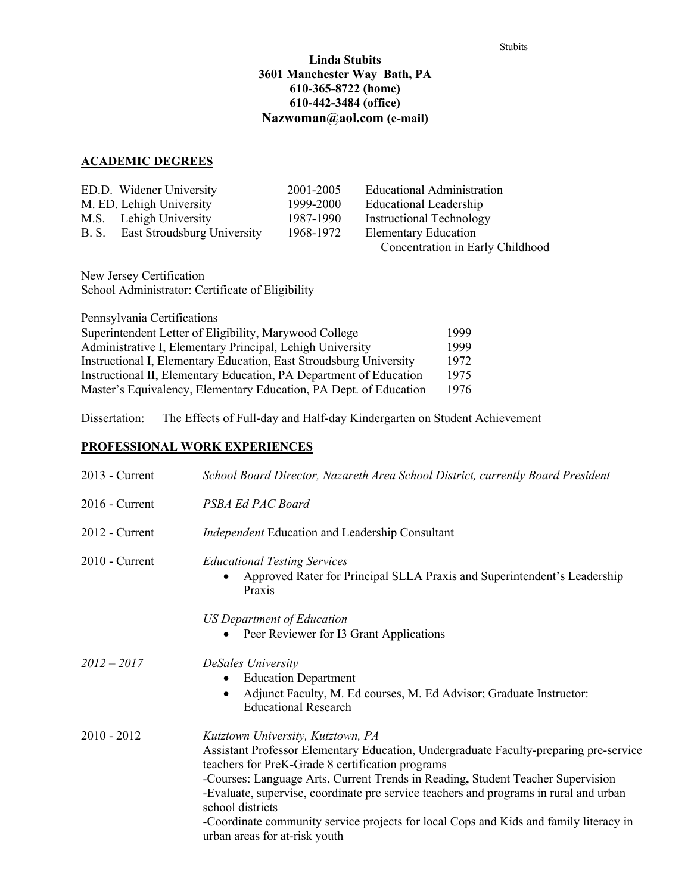### **Linda Stubits 3601 Manchester Way Bath, PA 610-365-8722 (home) 610-442-3484 (office) Nazwoman@aol.com (e-mail)**

#### **ACADEMIC DEGREES**

| ED.D. Widener University          | 2001-2005 | Educational Administration       |
|-----------------------------------|-----------|----------------------------------|
| M. ED. Lehigh University          | 1999-2000 | <b>Educational Leadership</b>    |
| M.S. Lehigh University            | 1987-1990 | <b>Instructional Technology</b>  |
| B. S. East Stroudsburg University | 1968-1972 | <b>Elementary Education</b>      |
|                                   |           | Concentration in Early Childhood |

New Jersey Certification School Administrator: Certificate of Eligibility

Pennsylvania Certifications

| Superintendent Letter of Eligibility, Marywood College             | 1999 |
|--------------------------------------------------------------------|------|
| Administrative I, Elementary Principal, Lehigh University          | 1999 |
| Instructional I, Elementary Education, East Stroudsburg University | 1972 |
| Instructional II, Elementary Education, PA Department of Education | 1975 |
| Master's Equivalency, Elementary Education, PA Dept. of Education  | 1976 |

Dissertation: The Effects of Full-day and Half-day Kindergarten on Student Achievement

# **PROFESSIONAL WORK EXPERIENCES**

| $2013$ - Current | School Board Director, Nazareth Area School District, currently Board President                                                                                                                                                                                                                                                                                                                                                                                                                          |
|------------------|----------------------------------------------------------------------------------------------------------------------------------------------------------------------------------------------------------------------------------------------------------------------------------------------------------------------------------------------------------------------------------------------------------------------------------------------------------------------------------------------------------|
| $2016$ - Current | PSBA Ed PAC Board                                                                                                                                                                                                                                                                                                                                                                                                                                                                                        |
| $2012$ - Current | <i>Independent</i> Education and Leadership Consultant                                                                                                                                                                                                                                                                                                                                                                                                                                                   |
| $2010$ - Current | <b>Educational Testing Services</b><br>Approved Rater for Principal SLLA Praxis and Superintendent's Leadership<br>Praxis                                                                                                                                                                                                                                                                                                                                                                                |
|                  | US Department of Education<br>Peer Reviewer for I3 Grant Applications                                                                                                                                                                                                                                                                                                                                                                                                                                    |
| $2012 - 2017$    | DeSales University<br><b>Education Department</b><br>٠<br>Adjunct Faculty, M. Ed courses, M. Ed Advisor; Graduate Instructor:<br>$\bullet$<br><b>Educational Research</b>                                                                                                                                                                                                                                                                                                                                |
| $2010 - 2012$    | Kutztown University, Kutztown, PA<br>Assistant Professor Elementary Education, Undergraduate Faculty-preparing pre-service<br>teachers for PreK-Grade 8 certification programs<br>-Courses: Language Arts, Current Trends in Reading, Student Teacher Supervision<br>-Evaluate, supervise, coordinate pre service teachers and programs in rural and urban<br>school districts<br>-Coordinate community service projects for local Cops and Kids and family literacy in<br>urban areas for at-risk youth |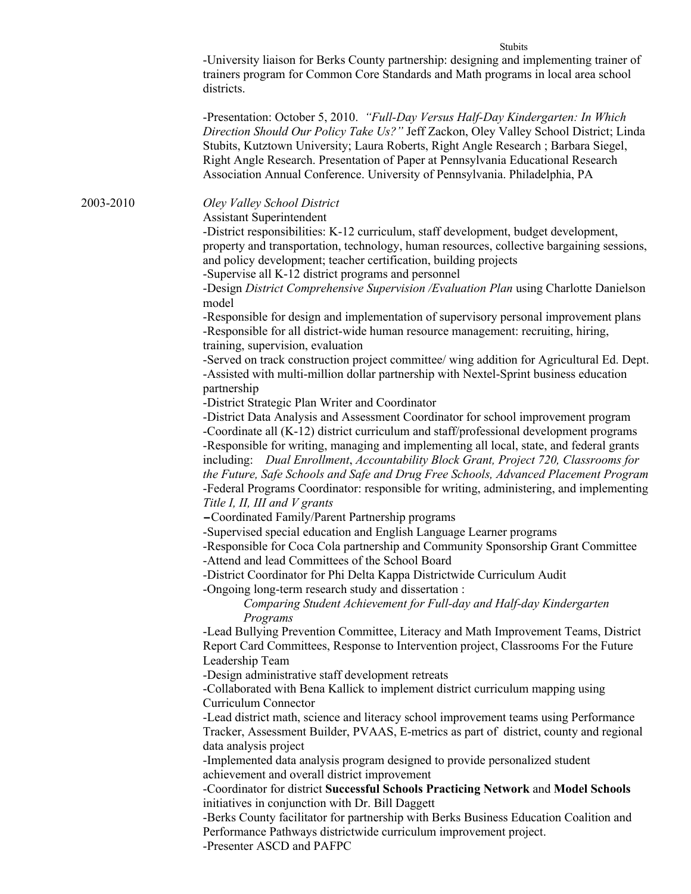-University liaison for Berks County partnership: designing and implementing trainer of trainers program for Common Core Standards and Math programs in local area school districts.

Stubits

-Presentation: October 5, 2010. *"Full-Day Versus Half-Day Kindergarten: In Which Direction Should Our Policy Take Us?"* Jeff Zackon, Oley Valley School District; Linda Stubits, Kutztown University; Laura Roberts, Right Angle Research ; Barbara Siegel, Right Angle Research. Presentation of Paper at Pennsylvania Educational Research Association Annual Conference. University of Pennsylvania. Philadelphia, PA

2003-2010 *Oley Valley School District*

Assistant Superintendent

-District responsibilities: K-12 curriculum, staff development, budget development, property and transportation, technology, human resources, collective bargaining sessions, and policy development; teacher certification, building projects -Supervise all K-12 district programs and personnel

-Design *District Comprehensive Supervision /Evaluation Plan* using Charlotte Danielson model

-Responsible for design and implementation of supervisory personal improvement plans -Responsible for all district-wide human resource management: recruiting, hiring, training, supervision, evaluation

-Served on track construction project committee/ wing addition for Agricultural Ed. Dept. -Assisted with multi-million dollar partnership with Nextel-Sprint business education partnership

-District Strategic Plan Writer and Coordinator

-District Data Analysis and Assessment Coordinator for school improvement program -Coordinate all (K-12) district curriculum and staff/professional development programs -Responsible for writing, managing and implementing all local, state, and federal grants including: *Dual Enrollment*, *Accountability Block Grant, Project 720, Classrooms for the Future, Safe Schools and Safe and Drug Free Schools, Advanced Placement Program* -Federal Programs Coordinator: responsible for writing, administering, and implementing *Title I, II, III and V grants*

-Coordinated Family/Parent Partnership programs

-Supervised special education and English Language Learner programs

-Responsible for Coca Cola partnership and Community Sponsorship Grant Committee -Attend and lead Committees of the School Board

-District Coordinator for Phi Delta Kappa Districtwide Curriculum Audit

-Ongoing long-term research study and dissertation :

*Comparing Student Achievement for Full-day and Half-day Kindergarten Programs*

-Lead Bullying Prevention Committee, Literacy and Math Improvement Teams, District Report Card Committees, Response to Intervention project, Classrooms For the Future Leadership Team

-Design administrative staff development retreats

-Collaborated with Bena Kallick to implement district curriculum mapping using Curriculum Connector

-Lead district math, science and literacy school improvement teams using Performance Tracker, Assessment Builder, PVAAS, E-metrics as part of district, county and regional data analysis project

-Implemented data analysis program designed to provide personalized student achievement and overall district improvement

-Coordinator for district **Successful Schools Practicing Network** and **Model Schools** initiatives in conjunction with Dr. Bill Daggett

-Berks County facilitator for partnership with Berks Business Education Coalition and Performance Pathways districtwide curriculum improvement project.

-Presenter ASCD and PAFPC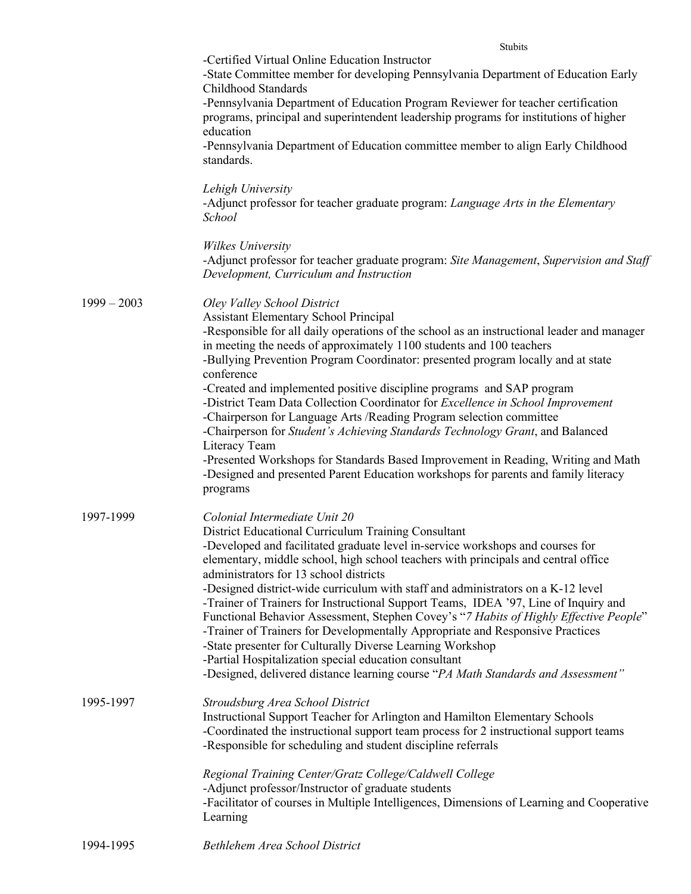Stubits

|               | -Certified Virtual Online Education Instructor<br>-State Committee member for developing Pennsylvania Department of Education Early<br>Childhood Standards                                                                                                                                                                                                                                                                                                                                                                                                                                                                                                                                                                                                                                                                                                                      |
|---------------|---------------------------------------------------------------------------------------------------------------------------------------------------------------------------------------------------------------------------------------------------------------------------------------------------------------------------------------------------------------------------------------------------------------------------------------------------------------------------------------------------------------------------------------------------------------------------------------------------------------------------------------------------------------------------------------------------------------------------------------------------------------------------------------------------------------------------------------------------------------------------------|
|               | -Pennsylvania Department of Education Program Reviewer for teacher certification<br>programs, principal and superintendent leadership programs for institutions of higher<br>education                                                                                                                                                                                                                                                                                                                                                                                                                                                                                                                                                                                                                                                                                          |
|               | -Pennsylvania Department of Education committee member to align Early Childhood<br>standards.                                                                                                                                                                                                                                                                                                                                                                                                                                                                                                                                                                                                                                                                                                                                                                                   |
|               | Lehigh University<br>-Adjunct professor for teacher graduate program: <i>Language Arts in the Elementary</i><br>School                                                                                                                                                                                                                                                                                                                                                                                                                                                                                                                                                                                                                                                                                                                                                          |
|               | Wilkes University<br>-Adjunct professor for teacher graduate program: Site Management, Supervision and Staff<br>Development, Curriculum and Instruction                                                                                                                                                                                                                                                                                                                                                                                                                                                                                                                                                                                                                                                                                                                         |
| $1999 - 2003$ | Oley Valley School District<br><b>Assistant Elementary School Principal</b><br>-Responsible for all daily operations of the school as an instructional leader and manager<br>in meeting the needs of approximately 1100 students and 100 teachers<br>-Bullying Prevention Program Coordinator: presented program locally and at state<br>conference<br>-Created and implemented positive discipline programs and SAP program<br>-District Team Data Collection Coordinator for Excellence in School Improvement<br>-Chairperson for Language Arts /Reading Program selection committee<br>-Chairperson for Student's Achieving Standards Technology Grant, and Balanced<br>Literacy Team<br>-Presented Workshops for Standards Based Improvement in Reading, Writing and Math<br>-Designed and presented Parent Education workshops for parents and family literacy<br>programs |
| 1997-1999     | Colonial Intermediate Unit 20<br>District Educational Curriculum Training Consultant<br>-Developed and facilitated graduate level in-service workshops and courses for<br>elementary, middle school, high school teachers with principals and central office<br>administrators for 13 school districts<br>-Designed district-wide curriculum with staff and administrators on a K-12 level<br>-Trainer of Trainers for Instructional Support Teams, IDEA '97, Line of Inquiry and<br>Functional Behavior Assessment, Stephen Covey's "7 Habits of Highly Effective People"<br>-Trainer of Trainers for Developmentally Appropriate and Responsive Practices<br>-State presenter for Culturally Diverse Learning Workshop<br>-Partial Hospitalization special education consultant<br>-Designed, delivered distance learning course "PA Math Standards and Assessment"           |
| 1995-1997     | Stroudsburg Area School District<br>Instructional Support Teacher for Arlington and Hamilton Elementary Schools<br>-Coordinated the instructional support team process for 2 instructional support teams<br>-Responsible for scheduling and student discipline referrals<br>Regional Training Center/Gratz College/Caldwell College<br>-Adjunct professor/Instructor of graduate students<br>-Facilitator of courses in Multiple Intelligences, Dimensions of Learning and Cooperative<br>Learning                                                                                                                                                                                                                                                                                                                                                                              |
| 1994-1995     | Bethlehem Area School District                                                                                                                                                                                                                                                                                                                                                                                                                                                                                                                                                                                                                                                                                                                                                                                                                                                  |